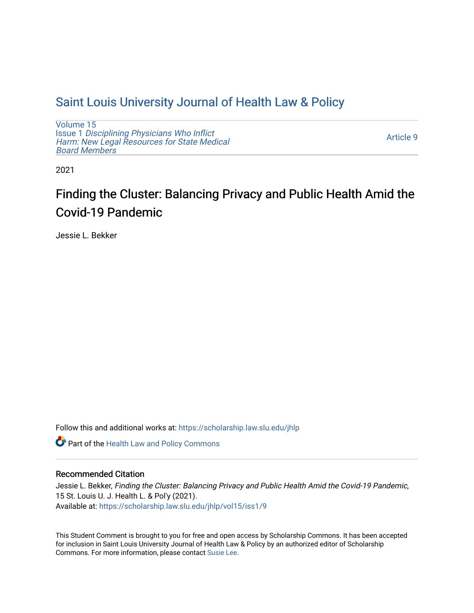## [Saint Louis University Journal of Health Law & Policy](https://scholarship.law.slu.edu/jhlp)

[Volume 15](https://scholarship.law.slu.edu/jhlp/vol15) Issue 1 [Disciplining Physicians Who Inflict](https://scholarship.law.slu.edu/jhlp/vol15/iss1)  [Harm: New Legal Resources for State Medical](https://scholarship.law.slu.edu/jhlp/vol15/iss1) [Board Members](https://scholarship.law.slu.edu/jhlp/vol15/iss1)

[Article 9](https://scholarship.law.slu.edu/jhlp/vol15/iss1/9) 

2021

# Finding the Cluster: Balancing Privacy and Public Health Amid the Covid-19 Pandemic

Jessie L. Bekker

Follow this and additional works at: [https://scholarship.law.slu.edu/jhlp](https://scholarship.law.slu.edu/jhlp?utm_source=scholarship.law.slu.edu%2Fjhlp%2Fvol15%2Fiss1%2F9&utm_medium=PDF&utm_campaign=PDFCoverPages)

Part of the [Health Law and Policy Commons](http://network.bepress.com/hgg/discipline/901?utm_source=scholarship.law.slu.edu%2Fjhlp%2Fvol15%2Fiss1%2F9&utm_medium=PDF&utm_campaign=PDFCoverPages) 

## Recommended Citation

Jessie L. Bekker, Finding the Cluster: Balancing Privacy and Public Health Amid the Covid-19 Pandemic, 15 St. Louis U. J. Health L. & Pol'y (2021). Available at: [https://scholarship.law.slu.edu/jhlp/vol15/iss1/9](https://scholarship.law.slu.edu/jhlp/vol15/iss1/9?utm_source=scholarship.law.slu.edu%2Fjhlp%2Fvol15%2Fiss1%2F9&utm_medium=PDF&utm_campaign=PDFCoverPages) 

This Student Comment is brought to you for free and open access by Scholarship Commons. It has been accepted for inclusion in Saint Louis University Journal of Health Law & Policy by an authorized editor of Scholarship Commons. For more information, please contact [Susie Lee](mailto:susie.lee@slu.edu).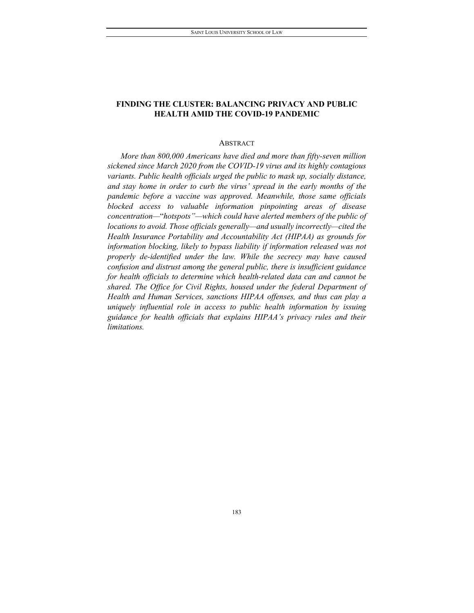## **FINDING THE CLUSTER: BALANCING PRIVACY AND PUBLIC HEALTH AMID THE COVID-19 PANDEMIC**

### ABSTRACT

*More than 800,000 Americans have died and more than fifty-seven million sickened since March 2020 from the COVID-19 virus and its highly contagious variants. Public health officials urged the public to mask up, socially distance, and stay home in order to curb the virus' spread in the early months of the pandemic before a vaccine was approved. Meanwhile, those same officials blocked access to valuable information pinpointing areas of disease concentration—*"*hotspots"—which could have alerted members of the public of locations to avoid. Those officials generally—and usually incorrectly—cited the Health Insurance Portability and Accountability Act (HIPAA) as grounds for information blocking, likely to bypass liability if information released was not properly de-identified under the law. While the secrecy may have caused confusion and distrust among the general public, there is insufficient guidance for health officials to determine which health-related data can and cannot be shared. The Office for Civil Rights, housed under the federal Department of Health and Human Services, sanctions HIPAA offenses, and thus can play a uniquely influential role in access to public health information by issuing guidance for health officials that explains HIPAA's privacy rules and their limitations.*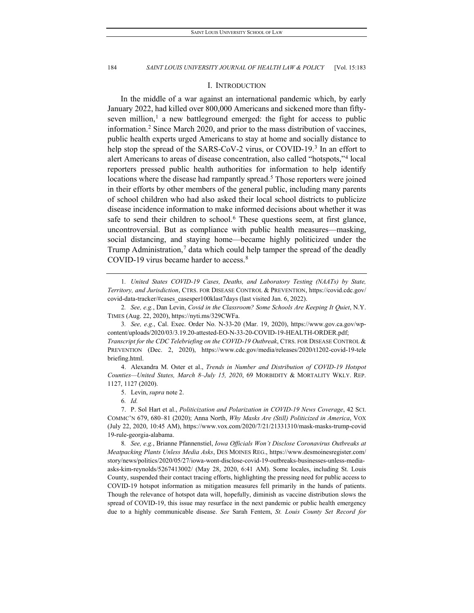#### I. INTRODUCTION

In the middle of a war against an international pandemic which, by early January 2022, had killed over 800,000 Americans and sickened more than fifty-seven million,<sup>[1](#page-2-0)</sup> a new battleground emerged: the fight for access to public information.[2](#page-2-1) Since March 2020, and prior to the mass distribution of vaccines, public health experts urged Americans to stay at home and socially distance to help stop the spread of the SARS-CoV-2 virus, or COVID-19.<sup>3</sup> In an effort to alert Americans to areas of disease concentration, also called "hotspots,"[4](#page-2-3) local reporters pressed public health authorities for information to help identify locations where the disease had rampantly spread.<sup>5</sup> Those reporters were joined in their efforts by other members of the general public, including many parents of school children who had also asked their local school districts to publicize disease incidence information to make informed decisions about whether it was safe to send their children to school.<sup>[6](#page-2-5)</sup> These questions seem, at first glance, uncontroversial. But as compliance with public health measures—masking, social distancing, and staying home—became highly politicized under the Trump Administration,<sup>[7](#page-2-6)</sup> data which could help tamper the spread of the deadly COVID-19 virus became harder to access.<sup>[8](#page-2-7)</sup>

<span id="page-2-0"></span>1*. United States COVID-19 Cases, Deaths, and Laboratory Testing (NAATs) by State, Territory, and Jurisdiction*, CTRS. FOR DISEASE CONTROL & PREVENTION, https://covid.cdc.gov/ covid-data-tracker/#cases\_casesper100klast7days (last visited Jan. 6, 2022).

<span id="page-2-2"></span>3*. See, e.g.*, Cal. Exec. Order No. N-33-20 (Mar. 19, 2020), https://www.gov.ca.gov/wpcontent/uploads/2020/03/3.19.20-attested-EO-N-33-20-COVID-19-HEALTH-ORDER.pdf; *Transcript for the CDC Telebriefing on the COVID-19 Outbreak*, CTRS. FOR DISEASE CONTROL & PREVENTION (Dec. 2, 2020), https://www.cdc.gov/media/releases/2020/t1202-covid-19-tele briefing.html.

<span id="page-2-3"></span>4. Alexandra M. Oster et al., *Trends in Number and Distribution of COVID-19 Hotspot Counties—United States, March 8–July 15, 2020*, 69 MORBIDITY & MORTALITY WKLY. REP. 1127, 1127 (2020).

5. Levin, *supra* note 2.

6*. Id.*

<span id="page-2-7"></span>8*. See, e.g.*, Brianne Pfannenstiel, *Iowa Officials Won't Disclose Coronavirus Outbreaks at Meatpacking Plants Unless Media Asks*, DES MOINES REG., https://www.desmoinesregister.com/ story/news/politics/2020/05/27/iowa-wont-disclose-covid-19-outbreaks-businesses-unless-mediaasks-kim-reynolds/5267413002/ (May 28, 2020, 6:41 AM). Some locales, including St. Louis County, suspended their contact tracing efforts, highlighting the pressing need for public access to COVID-19 hotspot information as mitigation measures fell primarily in the hands of patients. Though the relevance of hotspot data will, hopefully, diminish as vaccine distribution slows the spread of COVID-19, this issue may resurface in the next pandemic or public health emergency due to a highly communicable disease. *See* Sarah Fentem, *St. Louis County Set Record for* 

<span id="page-2-1"></span><sup>2</sup>*. See, e.g.*, Dan Levin, *Covid in the Classroom? Some Schools Are Keeping It Quiet*, N.Y. TIMES (Aug. 22, 2020), https://nyti.ms/329CWFa.

<span id="page-2-6"></span><span id="page-2-5"></span><span id="page-2-4"></span><sup>7.</sup> P. Sol Hart et al., *Politicization and Polarization in COVID-19 News Coverage*, 42 SCI. COMMC'N 679, 680–81 (2020); Anna North, *Why Masks Are (Still) Politicized in America*, VOX (July 22, 2020, 10:45 AM), https://www.vox.com/2020/7/21/21331310/mask-masks-trump-covid 19-rule-georgia-alabama.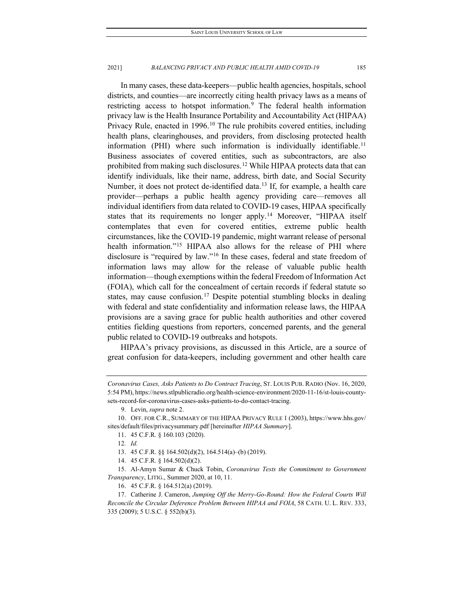In many cases, these data-keepers—public health agencies, hospitals, school districts, and counties—are incorrectly citing health privacy laws as a means of restricting access to hotspot information.<sup>9</sup> The federal health information privacy law is the Health Insurance Portability and Accountability Act (HIPAA) Privacy Rule, enacted in 1996.<sup>[10](#page-3-1)</sup> The rule prohibits covered entities, including health plans, clearinghouses, and providers, from disclosing protected health information (PHI) where such information is individually identifiable.<sup>[11](#page-3-2)</sup> Business associates of covered entities, such as subcontractors, are also prohibited from making such disclosures.<sup>[12](#page-3-3)</sup> While HIPAA protects data that can identify individuals, like their name, address, birth date, and Social Security Number, it does not protect de-identified data.<sup>[13](#page-3-4)</sup> If, for example, a health care provider—perhaps a public health agency providing care—removes all individual identifiers from data related to COVID-19 cases, HIPAA specifically states that its requirements no longer apply.<sup>[14](#page-3-5)</sup> Moreover, "HIPAA itself contemplates that even for covered entities, extreme public health circumstances, like the COVID-19 pandemic, might warrant release of personal health information."<sup>[15](#page-3-6)</sup> HIPAA also allows for the release of PHI where disclosure is "required by law."[16](#page-3-7) In these cases, federal and state freedom of information laws may allow for the release of valuable public health information—though exemptions within the federal Freedom of Information Act (FOIA), which call for the concealment of certain records if federal statute so states, may cause confusion.<sup>[17](#page-3-8)</sup> Despite potential stumbling blocks in dealing with federal and state confidentiality and information release laws, the HIPAA provisions are a saving grace for public health authorities and other covered entities fielding questions from reporters, concerned parents, and the general public related to COVID-19 outbreaks and hotspots.

HIPAA's privacy provisions, as discussed in this Article, are a source of great confusion for data-keepers, including government and other health care

16. 45 C.F.R. § 164.512(a) (2019).

*Coronavirus Cases, Asks Patients to Do Contract Tracing*, ST. LOUIS PUB. RADIO (Nov. 16, 2020, 5:54 PM), https://news.stlpublicradio.org/health-science-environment/2020-11-16/st-louis-countysets-record-for-coronavirus-cases-asks-patients-to-do-contact-tracing.

<sup>9.</sup> Levin, *supra* note 2.

<span id="page-3-3"></span><span id="page-3-2"></span><span id="page-3-1"></span><span id="page-3-0"></span><sup>10.</sup> OFF. FOR C.R., SUMMARY OF THE HIPAA PRIVACY RULE 1 (2003), https://www.hhs.gov/ sites/default/files/privacysummary.pdf [hereinafter *HIPAA Summary*].

<sup>11.</sup> 45 C.F.R. § 160.103 (2020).

<sup>12</sup>*. Id.*

<sup>13.</sup> 45 C.F.R. §§ 164.502(d)(2), 164.514(a)–(b) (2019).

<sup>14.</sup> 45 C.F.R. § 164.502(d)(2).

<span id="page-3-6"></span><span id="page-3-5"></span><span id="page-3-4"></span><sup>15.</sup> Al-Amyn Sumar & Chuck Tobin, *Coronavirus Tests the Commitment to Government Transparency*, LITIG., Summer 2020, at 10, 11.

<span id="page-3-8"></span><span id="page-3-7"></span><sup>17.</sup> Catherine J. Cameron, *Jumping Off the Merry-Go-Round: How the Federal Courts Will Reconcile the Circular Deference Problem Between HIPAA and FOIA*, 58 CATH. U. L. REV. 333, 335 (2009); 5 U.S.C. § 552(b)(3).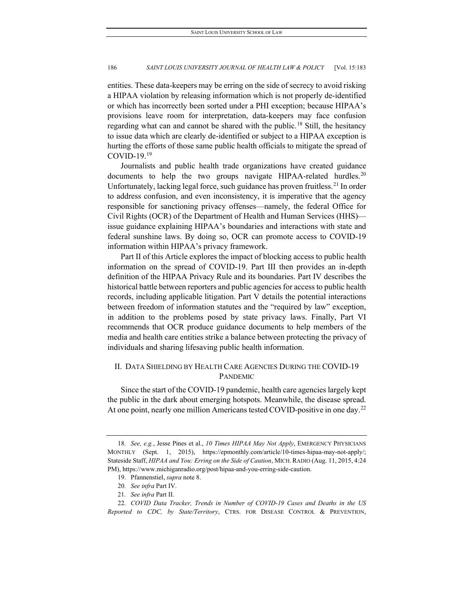entities. These data-keepers may be erring on the side of secrecy to avoid risking a HIPAA violation by releasing information which is not properly de-identified or which has incorrectly been sorted under a PHI exception; because HIPAA's provisions leave room for interpretation, data-keepers may face confusion regarding what can and cannot be shared with the public.<sup>[18](#page-4-0)</sup> Still, the hesitancy to issue data which are clearly de-identified or subject to a HIPAA exception is hurting the efforts of those same public health officials to mitigate the spread of COVID-[19](#page-4-1). $19$ 

Journalists and public health trade organizations have created guidance documents to help the two groups navigate HIPAA-related hurdles.<sup>[20](#page-4-2)</sup> Unfortunately, lacking legal force, such guidance has proven fruitless.<sup>[21](#page-4-3)</sup> In order to address confusion, and even inconsistency, it is imperative that the agency responsible for sanctioning privacy offenses—namely, the federal Office for Civil Rights (OCR) of the Department of Health and Human Services (HHS) issue guidance explaining HIPAA's boundaries and interactions with state and federal sunshine laws. By doing so, OCR can promote access to COVID-19 information within HIPAA's privacy framework.

Part II of this Article explores the impact of blocking access to public health information on the spread of COVID-19. Part III then provides an in-depth definition of the HIPAA Privacy Rule and its boundaries. Part IV describes the historical battle between reporters and public agencies for access to public health records, including applicable litigation. Part V details the potential interactions between freedom of information statutes and the "required by law" exception, in addition to the problems posed by state privacy laws. Finally, Part VI recommends that OCR produce guidance documents to help members of the media and health care entities strike a balance between protecting the privacy of individuals and sharing lifesaving public health information.

## II. DATA SHIELDING BY HEALTH CARE AGENCIES DURING THE COVID-19 PANDEMIC

Since the start of the COVID-19 pandemic, health care agencies largely kept the public in the dark about emerging hotspots. Meanwhile, the disease spread. At one point, nearly one million Americans tested COVID-positive in one day.<sup>[22](#page-4-4)</sup>

<span id="page-4-0"></span><sup>18</sup>*. See, e.g.*, Jesse Pines et al., *10 Times HIPAA May Not Apply*, EMERGENCY PHYSICIANS MONTHLY (Sept. 1, 2015), https://epmonthly.com/article/10-times-hipaa-may-not-apply/; Stateside Staff, *HIPAA and You: Erring on the Side of Caution*, MICH. RADIO (Aug. 11, 2015, 4:24 PM), https://www.michiganradio.org/post/hipaa-and-you-erring-side-caution.

<sup>19.</sup> Pfannenstiel, *supra* note 8.

<sup>20</sup>*. See infra* Part IV.

<sup>21</sup>*. See infra* Part II.

<span id="page-4-4"></span><span id="page-4-3"></span><span id="page-4-2"></span><span id="page-4-1"></span><sup>22</sup>*. COVID Data Tracker, Trends in Number of COVID-19 Cases and Deaths in the US Reported to CDC, by State/Territory*, CTRS. FOR DISEASE CONTROL & PREVENTION,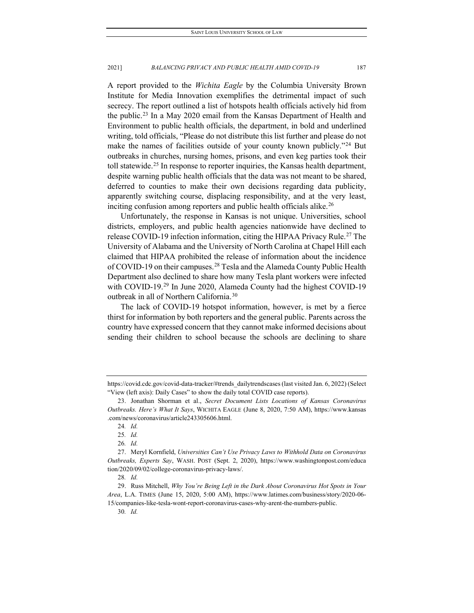A report provided to the *Wichita Eagle* by the Columbia University Brown Institute for Media Innovation exemplifies the detrimental impact of such secrecy. The report outlined a list of hotspots health officials actively hid from the public[.23](#page-5-0) In a May 2020 email from the Kansas Department of Health and Environment to public health officials, the department, in bold and underlined writing, told officials, "Please do not distribute this list further and please do not make the names of facilities outside of your county known publicly."<sup>[24](#page-5-1)</sup> But outbreaks in churches, nursing homes, prisons, and even keg parties took their toll statewide.<sup>[25](#page-5-2)</sup> In response to reporter inquiries, the Kansas health department, despite warning public health officials that the data was not meant to be shared, deferred to counties to make their own decisions regarding data publicity, apparently switching course, displacing responsibility, and at the very least, inciting confusion among reporters and public health officials alike.<sup>[26](#page-5-3)</sup>

Unfortunately, the response in Kansas is not unique. Universities, school districts, employers, and public health agencies nationwide have declined to release COVID-19 infection information, citing the HIPAA Privacy Rule.<sup>[27](#page-5-4)</sup> The University of Alabama and the University of North Carolina at Chapel Hill each claimed that HIPAA prohibited the release of information about the incidence of COVID-19 on their campuses.[28](#page-5-5) Tesla and the Alameda County Public Health Department also declined to share how many Tesla plant workers were infected with COVID-19.<sup>[29](#page-5-6)</sup> In June 2020, Alameda County had the highest COVID-19 outbreak in all of Northern California.[30](#page-5-7)

The lack of COVID-19 hotspot information, however, is met by a fierce thirst for information by both reporters and the general public. Parents across the country have expressed concern that they cannot make informed decisions about sending their children to school because the schools are declining to share

https://covid.cdc.gov/covid-data-tracker/#trends\_dailytrendscases (last visited Jan. 6, 2022) (Select "View (left axis): Daily Cases" to show the daily total COVID case reports).

<span id="page-5-1"></span><span id="page-5-0"></span><sup>23.</sup> Jonathan Shorman et al., *Secret Document Lists Locations of Kansas Coronavirus Outbreaks. Here's What It Says*, WICHITA EAGLE (June 8, 2020, 7:50 AM), https://www.kansas .com/news/coronavirus/article243305606.html.

<sup>24</sup>*. Id.*

<sup>25</sup>*. Id.*

<sup>26</sup>*. Id.*

<span id="page-5-4"></span><span id="page-5-3"></span><span id="page-5-2"></span><sup>27.</sup> Meryl Kornfield, *Universities Can't Use Privacy Laws to Withhold Data on Coronavirus Outbreaks, Experts Say*, WASH. POST (Sept. 2, 2020), https://www.washingtonpost.com/educa tion/2020/09/02/college-coronavirus-privacy-laws/.

<sup>28</sup>*. Id.*

<span id="page-5-7"></span><span id="page-5-6"></span><span id="page-5-5"></span><sup>29.</sup> Russ Mitchell, *Why You're Being Left in the Dark About Coronavirus Hot Spots in Your Area*, L.A. TIMES (June 15, 2020, 5:00 AM), https://www.latimes.com/business/story/2020-06- 15/companies-like-tesla-wont-report-coronavirus-cases-why-arent-the-numbers-public.

<sup>30</sup>*. Id.*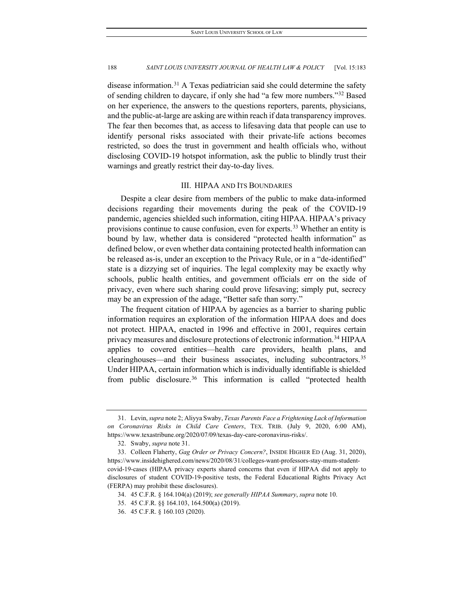disease information.<sup>[31](#page-6-0)</sup> A Texas pediatrician said she could determine the safety of sending children to daycare, if only she had "a few more numbers.["32](#page-6-1) Based on her experience, the answers to the questions reporters, parents, physicians, and the public-at-large are asking are within reach if data transparency improves. The fear then becomes that, as access to lifesaving data that people can use to identify personal risks associated with their private-life actions becomes restricted, so does the trust in government and health officials who, without disclosing COVID-19 hotspot information, ask the public to blindly trust their warnings and greatly restrict their day-to-day lives.

#### III. HIPAA AND ITS BOUNDARIES

Despite a clear desire from members of the public to make data-informed decisions regarding their movements during the peak of the COVID-19 pandemic, agencies shielded such information, citing HIPAA. HIPAA's privacy provisions continue to cause confusion, even for experts.<sup>[33](#page-6-2)</sup> Whether an entity is bound by law, whether data is considered "protected health information" as defined below, or even whether data containing protected health information can be released as-is, under an exception to the Privacy Rule, or in a "de-identified" state is a dizzying set of inquiries. The legal complexity may be exactly why schools, public health entities, and government officials err on the side of privacy, even where such sharing could prove lifesaving; simply put, secrecy may be an expression of the adage, "Better safe than sorry."

The frequent citation of HIPAA by agencies as a barrier to sharing public information requires an exploration of the information HIPAA does and does not protect. HIPAA, enacted in 1996 and effective in 2001, requires certain privacy measures and disclosure protections of electronic information.<sup>[34](#page-6-3)</sup> HIPAA applies to covered entities—health care providers, health plans, and clearinghouses—and their business associates, including subcontractors.<sup>[35](#page-6-4)</sup> Under HIPAA, certain information which is individually identifiable is shielded from public disclosure.<sup>[36](#page-6-5)</sup> This information is called "protected health

<span id="page-6-0"></span><sup>31.</sup> Levin, *supra* note 2; Aliyya Swaby, *Texas Parents Face a Frightening Lack of Information on Coronavirus Risks in Child Care Centers*, TEX. TRIB. (July 9, 2020, 6:00 AM), https://www.texastribune.org/2020/07/09/texas-day-care-coronavirus-risks/.

<sup>32.</sup> Swaby, *supra* note 31.

<span id="page-6-3"></span><span id="page-6-2"></span><span id="page-6-1"></span><sup>33.</sup> Colleen Flaherty, *Gag Order or Privacy Concern?*, INSIDE HIGHER ED (Aug. 31, 2020), https://www.insidehighered.com/news/2020/08/31/colleges-want-professors-stay-mum-studentcovid-19-cases (HIPAA privacy experts shared concerns that even if HIPAA did not apply to disclosures of student COVID-19-positive tests, the Federal Educational Rights Privacy Act (FERPA) may prohibit these disclosures).

<sup>34.</sup> 45 C.F.R. § 164.104(a) (2019); *see generally HIPAA Summary*, *supra* note 10.

<sup>35.</sup> 45 C.F.R. §§ 164.103, 164.500(a) (2019).

<span id="page-6-5"></span><span id="page-6-4"></span><sup>36.</sup> 45 C.F.R. § 160.103 (2020).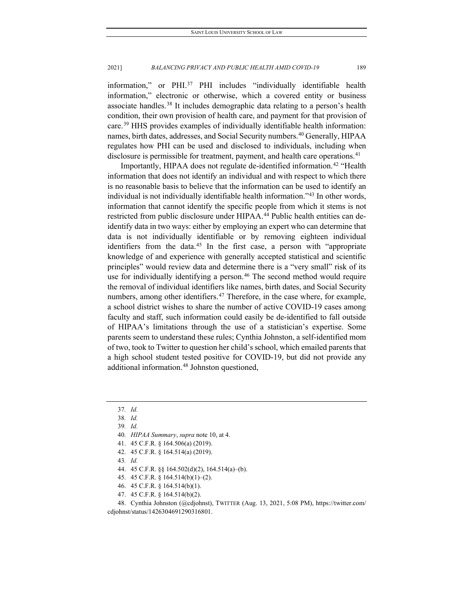information," or PHI.<sup>[37](#page-7-0)</sup> PHI includes "individually identifiable health information," electronic or otherwise, which a covered entity or business associate handles.[38](#page-7-1) It includes demographic data relating to a person's health condition, their own provision of health care, and payment for that provision of care.[39](#page-7-2) HHS provides examples of individually identifiable health information: names, birth dates, addresses, and Social Security numbers.<sup>[40](#page-7-3)</sup> Generally, HIPAA regulates how PHI can be used and disclosed to individuals, including when disclosure is permissible for treatment, payment, and health care operations.<sup>[41](#page-7-4)</sup>

Importantly, HIPAA does not regulate de-identified information.[42](#page-7-5) "Health information that does not identify an individual and with respect to which there is no reasonable basis to believe that the information can be used to identify an individual is not individually identifiable health information.["43](#page-7-6) In other words, information that cannot identify the specific people from which it stems is not restricted from public disclosure under HIPAA.<sup>[44](#page-7-7)</sup> Public health entities can deidentify data in two ways: either by employing an expert who can determine that data is not individually identifiable or by removing eighteen individual identifiers from the data. $45$  In the first case, a person with "appropriate knowledge of and experience with generally accepted statistical and scientific principles" would review data and determine there is a "very small" risk of its use for individually identifying a person.<sup>[46](#page-7-9)</sup> The second method would require the removal of individual identifiers like names, birth dates, and Social Security numbers, among other identifiers.<sup>[47](#page-7-10)</sup> Therefore, in the case where, for example, a school district wishes to share the number of active COVID-19 cases among faculty and staff, such information could easily be de-identified to fall outside of HIPAA's limitations through the use of a statistician's expertise. Some parents seem to understand these rules; Cynthia Johnston, a self-identified mom of two, took to Twitter to question her child's school, which emailed parents that a high school student tested positive for COVID-19, but did not provide any additional information.<sup>[48](#page-7-11)</sup> Johnston questioned,

43*. Id.*

- 44. 45 C.F.R. §§ 164.502(d)(2), 164.514(a)–(b).
- 45. 45 C.F.R. § 164.514(b)(1)–(2).
- 46. 45 C.F.R. § 164.514(b)(1).
- 47. 45 C.F.R. § 164.514(b)(2).

<span id="page-7-0"></span><sup>37</sup>*. Id.*

<span id="page-7-2"></span><span id="page-7-1"></span><sup>38</sup>*. Id.*

<sup>39</sup>*. Id.*

<sup>40</sup>*. HIPAA Summary*, *supra* note 10, at 4.

<span id="page-7-4"></span><span id="page-7-3"></span><sup>41.</sup> 45 C.F.R. § 164.506(a) (2019).

<span id="page-7-5"></span><sup>42.</sup> 45 C.F.R. § 164.514(a) (2019).

<span id="page-7-11"></span><span id="page-7-10"></span><span id="page-7-9"></span><span id="page-7-8"></span><span id="page-7-7"></span><span id="page-7-6"></span><sup>48.</sup> Cynthia Johnston (@cdjohnst), TWITTER (Aug. 13, 2021, 5:08 PM), https://twitter.com/ cdjohnst/status/1426304691290316801.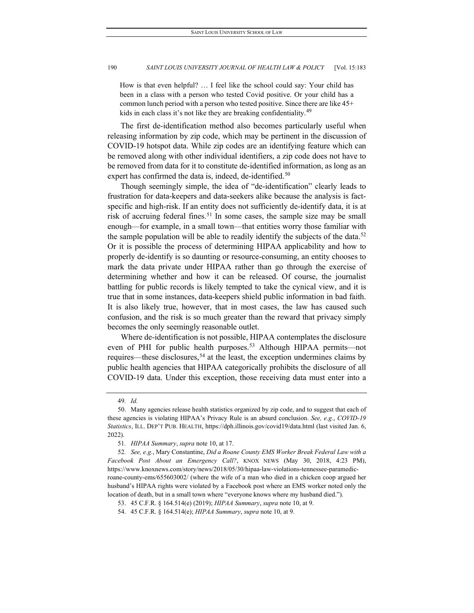How is that even helpful? … I feel like the school could say: Your child has been in a class with a person who tested Covid positive. Or your child has a common lunch period with a person who tested positive. Since there are like 45+ kids in each class it's not like they are breaking confidentiality.<sup>[49](#page-8-0)</sup>

The first de-identification method also becomes particularly useful when releasing information by zip code, which may be pertinent in the discussion of COVID-19 hotspot data. While zip codes are an identifying feature which can be removed along with other individual identifiers, a zip code does not have to be removed from data for it to constitute de-identified information, as long as an expert has confirmed the data is, indeed, de-identified.<sup>[50](#page-8-1)</sup>

Though seemingly simple, the idea of "de-identification" clearly leads to frustration for data-keepers and data-seekers alike because the analysis is factspecific and high-risk. If an entity does not sufficiently de-identify data, it is at risk of accruing federal fines.<sup>[51](#page-8-2)</sup> In some cases, the sample size may be small enough—for example, in a small town—that entities worry those familiar with the sample population will be able to readily identify the subjects of the data.<sup>[52](#page-8-3)</sup> Or it is possible the process of determining HIPAA applicability and how to properly de-identify is so daunting or resource-consuming, an entity chooses to mark the data private under HIPAA rather than go through the exercise of determining whether and how it can be released. Of course, the journalist battling for public records is likely tempted to take the cynical view, and it is true that in some instances, data-keepers shield public information in bad faith. It is also likely true, however, that in most cases, the law has caused such confusion, and the risk is so much greater than the reward that privacy simply becomes the only seemingly reasonable outlet.

Where de-identification is not possible, HIPAA contemplates the disclosure even of PHI for public health purposes.<sup>[53](#page-8-4)</sup> Although HIPAA permits—not requires—these disclosures,<sup>[54](#page-8-5)</sup> at the least, the exception undermines claims by public health agencies that HIPAA categorically prohibits the disclosure of all COVID-19 data. Under this exception, those receiving data must enter into a

<sup>49</sup>*. Id.*

<span id="page-8-1"></span><span id="page-8-0"></span><sup>50.</sup> Many agencies release health statistics organized by zip code, and to suggest that each of these agencies is violating HIPAA's Privacy Rule is an absurd conclusion. *See, e.g.*, *COVID-19 Statistics*, ILL. DEP'T PUB. HEALTH, https://dph.illinois.gov/covid19/data.html (last visited Jan. 6, 2022).

<sup>51</sup>*. HIPAA Summary*, *supra* note 10, at 17.

<span id="page-8-3"></span><span id="page-8-2"></span><sup>52</sup>*. See, e.g.*, Mary Constantine, *Did a Roane County EMS Worker Break Federal Law with a Facebook Post About an Emergency Call?*, KNOX NEWS (May 30, 2018, 4:23 PM), https://www.knoxnews.com/story/news/2018/05/30/hipaa-law-violations-tennessee-paramedicroane-county-ems/655603002/ (where the wife of a man who died in a chicken coop argued her husband's HIPAA rights were violated by a Facebook post where an EMS worker noted only the location of death, but in a small town where "everyone knows where my husband died.").

<span id="page-8-4"></span><sup>53.</sup> 45 C.F.R. § 164.514(e) (2019); *HIPAA Summary*, *supra* note 10, at 9.

<span id="page-8-5"></span><sup>54.</sup> 45 C.F.R. § 164.514(e); *HIPAA Summary*, *supra* note 10, at 9.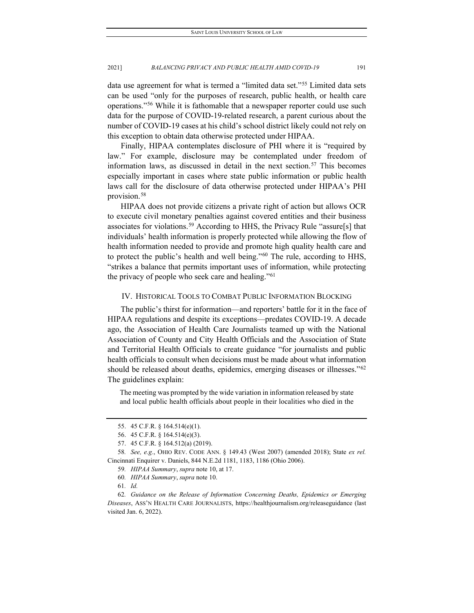data use agreement for what is termed a "limited data set."[55](#page-9-0) Limited data sets can be used "only for the purposes of research, public health, or health care operations.["56](#page-9-1) While it is fathomable that a newspaper reporter could use such data for the purpose of COVID-19-related research, a parent curious about the number of COVID-19 cases at his child's school district likely could not rely on this exception to obtain data otherwise protected under HIPAA.

Finally, HIPAA contemplates disclosure of PHI where it is "required by law." For example, disclosure may be contemplated under freedom of information laws, as discussed in detail in the next section.<sup>[57](#page-9-2)</sup> This becomes especially important in cases where state public information or public health laws call for the disclosure of data otherwise protected under HIPAA's PHI provision.[58](#page-9-3)

HIPAA does not provide citizens a private right of action but allows OCR to execute civil monetary penalties against covered entities and their business associates for violations.[59](#page-9-4) According to HHS, the Privacy Rule "assure[s] that individuals' health information is properly protected while allowing the flow of health information needed to provide and promote high quality health care and to protect the public's health and well being."[60](#page-9-5) The rule, according to HHS, "strikes a balance that permits important uses of information, while protecting the privacy of people who seek care and healing."<sup>[61](#page-9-6)</sup>

#### IV. HISTORICAL TOOLS TO COMBAT PUBLIC INFORMATION BLOCKING

The public's thirst for information—and reporters' battle for it in the face of HIPAA regulations and despite its exceptions—predates COVID-19. A decade ago, the Association of Health Care Journalists teamed up with the National Association of County and City Health Officials and the Association of State and Territorial Health Officials to create guidance "for journalists and public health officials to consult when decisions must be made about what information should be released about deaths, epidemics, emerging diseases or illnesses."<sup>[62](#page-9-7)</sup> The guidelines explain:

The meeting was prompted by the wide variation in information released by state and local public health officials about people in their localities who died in the

<sup>55.</sup> 45 C.F.R. § 164.514(e)(1).

<sup>56.</sup> 45 C.F.R. § 164.514(e)(3).

<sup>57.</sup> 45 C.F.R. § 164.512(a) (2019).

<span id="page-9-4"></span><span id="page-9-3"></span><span id="page-9-2"></span><span id="page-9-1"></span><span id="page-9-0"></span><sup>58</sup>*. See, e.g.*, OHIO REV. CODE ANN. § 149.43 (West 2007) (amended 2018); State *ex rel.* Cincinnati Enquirer v. Daniels, 844 N.E.2d 1181, 1183, 1186 (Ohio 2006).

<sup>59</sup>*. HIPAA Summary*, *supra* note 10, at 17.

<sup>60</sup>*. HIPAA Summary*, *supra* note 10.

<sup>61</sup>*. Id.*

<span id="page-9-7"></span><span id="page-9-6"></span><span id="page-9-5"></span><sup>62</sup>*. Guidance on the Release of Information Concerning Deaths, Epidemics or Emerging Diseases*, ASS'N HEALTH CARE JOURNALISTS, https://healthjournalism.org/releaseguidance (last visited Jan. 6, 2022).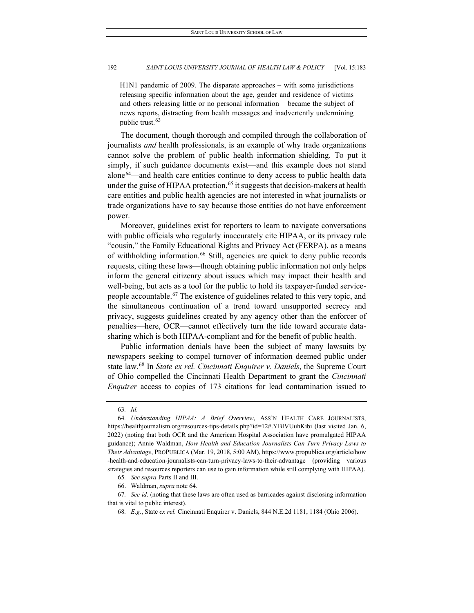H1N1 pandemic of 2009. The disparate approaches – with some jurisdictions releasing specific information about the age, gender and residence of victims and others releasing little or no personal information – became the subject of news reports, distracting from health messages and inadvertently undermining public trust.<sup>[63](#page-10-0)</sup>

The document, though thorough and compiled through the collaboration of journalists *and* health professionals, is an example of why trade organizations cannot solve the problem of public health information shielding. To put it simply, if such guidance documents exist—and this example does not stand alone[64](#page-10-1)—and health care entities continue to deny access to public health data under the guise of HIPAA protection,  $65$  it suggests that decision-makers at health care entities and public health agencies are not interested in what journalists or trade organizations have to say because those entities do not have enforcement power.

Moreover, guidelines exist for reporters to learn to navigate conversations with public officials who regularly inaccurately cite HIPAA, or its privacy rule "cousin," the Family Educational Rights and Privacy Act (FERPA), as a means of withholding information.<sup>66</sup> Still, agencies are quick to deny public records requests, citing these laws—though obtaining public information not only helps inform the general citizenry about issues which may impact their health and well-being, but acts as a tool for the public to hold its taxpayer-funded servicepeople accountable.[67](#page-10-4) The existence of guidelines related to this very topic, and the simultaneous continuation of a trend toward unsupported secrecy and privacy, suggests guidelines created by any agency other than the enforcer of penalties—here, OCR—cannot effectively turn the tide toward accurate datasharing which is both HIPAA-compliant and for the benefit of public health.

Public information denials have been the subject of many lawsuits by newspapers seeking to compel turnover of information deemed public under state law.[68](#page-10-5) In *State ex rel. Cincinnati Enquirer v. Daniels*, the Supreme Court of Ohio compelled the Cincinnati Health Department to grant the *Cincinnati Enquirer* access to copies of 173 citations for lead contamination issued to

<sup>63</sup>*. Id.*

<span id="page-10-1"></span><span id="page-10-0"></span><sup>64</sup>*. Understanding HIPAA: A Brief Overview*, ASS'N HEALTH CARE JOURNALISTS, https://healthjournalism.org/resources-tips-details.php?id=12#.YBIVUuhKibi (last visited Jan. 6, 2022) (noting that both OCR and the American Hospital Association have promulgated HIPAA guidance); Annie Waldman, *How Health and Education Journalists Can Turn Privacy Laws to Their Advantage*, PROPUBLICA (Mar. 19, 2018, 5:00 AM), https://www.propublica.org/article/how -health-and-education-journalists-can-turn-privacy-laws-to-their-advantage (providing various strategies and resources reporters can use to gain information while still complying with HIPAA).

<sup>65</sup>*. See supra* Parts II and III.

<sup>66.</sup> Waldman, *supra* note 64.

<span id="page-10-5"></span><span id="page-10-4"></span><span id="page-10-3"></span><span id="page-10-2"></span><sup>67</sup>*. See id.* (noting that these laws are often used as barricades against disclosing information that is vital to public interest).

<sup>68</sup>*. E.g.*, State *ex rel.* Cincinnati Enquirer v. Daniels, 844 N.E.2d 1181, 1184 (Ohio 2006).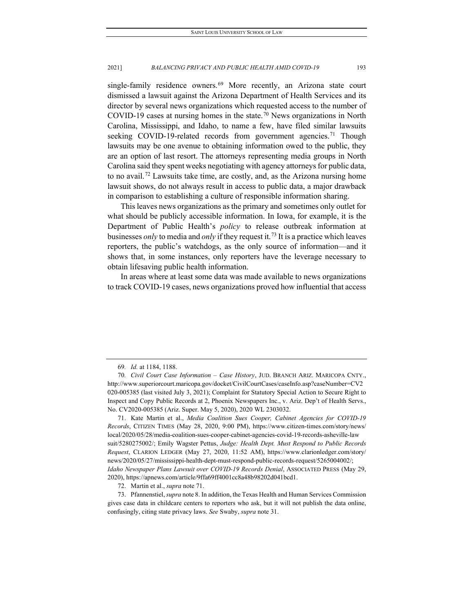single-family residence owners.<sup>[69](#page-11-0)</sup> More recently, an Arizona state court dismissed a lawsuit against the Arizona Department of Health Services and its director by several news organizations which requested access to the number of COVID-19 cases at nursing homes in the state.<sup>[70](#page-11-1)</sup> News organizations in North Carolina, Mississippi, and Idaho, to name a few, have filed similar lawsuits seeking COVID-19-related records from government agencies.<sup>[71](#page-11-2)</sup> Though lawsuits may be one avenue to obtaining information owed to the public, they are an option of last resort. The attorneys representing media groups in North Carolina said they spent weeks negotiating with agency attorneys for public data, to no avail.[72](#page-11-3) Lawsuits take time, are costly, and, as the Arizona nursing home lawsuit shows, do not always result in access to public data, a major drawback in comparison to establishing a culture of responsible information sharing.

This leaves news organizations as the primary and sometimes only outlet for what should be publicly accessible information. In Iowa, for example, it is the Department of Public Health's *policy* to release outbreak information at businesses *only* to media and *only* if they request it.[73](#page-11-4) It is a practice which leaves reporters, the public's watchdogs, as the only source of information—and it shows that, in some instances, only reporters have the leverage necessary to obtain lifesaving public health information.

In areas where at least some data was made available to news organizations to track COVID-19 cases, news organizations proved how influential that access

<sup>69</sup>*. Id.* at 1184, 1188.

<span id="page-11-1"></span><span id="page-11-0"></span><sup>70</sup>*. Civil Court Case Information – Case History*, JUD. BRANCH ARIZ. MARICOPA CNTY., http://www.superiorcourt.maricopa.gov/docket/CivilCourtCases/caseInfo.asp?caseNumber=CV2 020-005385 (last visited July 3, 2021); Complaint for Statutory Special Action to Secure Right to Inspect and Copy Public Records at 2, Phoenix Newspapers Inc., v. Ariz. Dep't of Health Servs., No. CV2020-005385 (Ariz. Super. May 5, 2020), 2020 WL 2303032.

<span id="page-11-2"></span><sup>71.</sup> Kate Martin et al., *Media Coalition Sues Cooper, Cabinet Agencies for COVID-19 Records*, CITIZEN TIMES (May 28, 2020, 9:00 PM), https://www.citizen-times.com/story/news/ local/2020/05/28/media-coalition-sues-cooper-cabinet-agencies-covid-19-records-asheville-law suit/5280275002/; Emily Wagster Pettus, *Judge: Health Dept. Must Respond to Public Records Request*, CLARION LEDGER (May 27, 2020, 11:52 AM), https://www.clarionledger.com/story/ news/2020/05/27/mississippi-health-dept-must-respond-public-records-request/5265004002/; *Idaho Newspaper Plans Lawsuit over COVID-19 Records Denial*, ASSOCIATED PRESS (May 29, 2020), https://apnews.com/article/9ffa69ff4001cc8a48b98202d041bcd1.

<sup>72.</sup> Martin et al., *supra* note 71.

<span id="page-11-4"></span><span id="page-11-3"></span><sup>73.</sup> Pfannenstiel, *supra* note 8. In addition, the Texas Health and Human Services Commission gives case data in childcare centers to reporters who ask, but it will not publish the data online, confusingly, citing state privacy laws. *See* Swaby, *supra* note 31.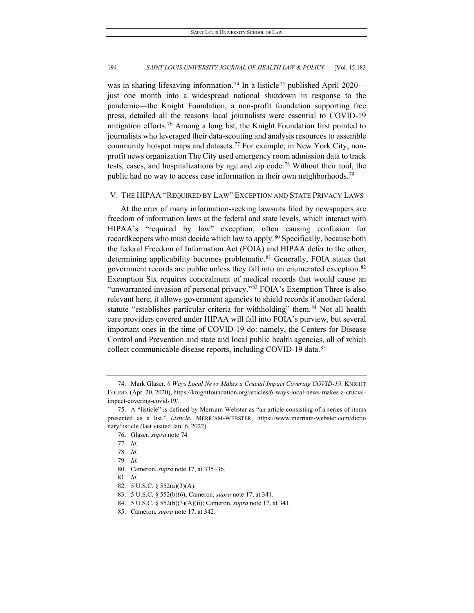was in sharing lifesaving information.<sup>[74](#page-12-0)</sup> In a listicle<sup>[75](#page-12-1)</sup> published April 2020 just one month into a widespread national shutdown in response to the pandemic—the Knight Foundation, a non-profit foundation supporting free press, detailed all the reasons local journalists were essential to COVID-19 mitigation efforts.<sup>[76](#page-12-2)</sup> Among a long list, the Knight Foundation first pointed to journalists who leveraged their data-scouting and analysis resources to assemble community hotspot maps and datasets.<sup>[77](#page-12-3)</sup> For example, in New York City, nonprofit news organization The City used emergency room admission data to track tests, cases, and hospitalizations by age and zip code.[78](#page-12-4) Without their tool, the public had no way to access case information in their own neighborhoods.<sup>[79](#page-12-5)</sup>

## V. THE HIPAA "REQUIRED BY LAW" EXCEPTION AND STATE PRIVACY LAWS

At the crux of many information-seeking lawsuits filed by newspapers are freedom of information laws at the federal and state levels, which interact with HIPAA's "required by law" exception, often causing confusion for recordkeepers who must decide which law to apply.<sup>[80](#page-12-6)</sup> Specifically, because both the federal Freedom of Information Act (FOIA) and HIPAA defer to the other, determining applicability becomes problematic.<sup>[81](#page-12-7)</sup> Generally, FOIA states that government records are public unless they fall into an enumerated exception.[82](#page-12-8) Exemption Six requires concealment of medical records that would cause an "unwarranted invasion of personal privacy."<sup>[83](#page-12-9)</sup> FOIA's Exemption Three is also relevant here; it allows government agencies to shield records if another federal statute "establishes particular criteria for withholding" them.<sup>[84](#page-12-10)</sup> Not all health care providers covered under HIPAA will fall into FOIA's purview, but several important ones in the time of COVID-19 do: namely, the Centers for Disease Control and Prevention and state and local public health agencies, all of which collect communicable disease reports, including COVID-19 data.<sup>[85](#page-12-11)</sup>

<span id="page-12-0"></span><sup>74.</sup> Mark Glaser, *6 Ways Local News Makes a Crucial Impact Covering COVID-19*, KNIGHT FOUND. (Apr. 20, 2020), https://knightfoundation.org/articles/6-ways-local-news-makes-a-crucialimpact-covering-covid-19/.

<span id="page-12-4"></span><span id="page-12-3"></span><span id="page-12-2"></span><span id="page-12-1"></span><sup>75.</sup> A "listicle" is defined by Merriam-Webster as "an article consisting of a series of items presented as a list." *Listicle*, MERRIAM-WEBSTER, https://www.merriam-webster.com/dictio nary/listicle (last visited Jan. 6, 2022).

<sup>76.</sup> Glaser, *supra* note 74*.*

<sup>77</sup>*. Id.*

<sup>78</sup>*. Id.*

<span id="page-12-5"></span><sup>79</sup>*. Id.*

<sup>80.</sup> Cameron, *supra* note 17, at 335–36.

<span id="page-12-8"></span><span id="page-12-7"></span><span id="page-12-6"></span><sup>81</sup>*. Id.*

<sup>82.</sup> 5 U.S.C. § 552(a)(3)(A).

<span id="page-12-9"></span><sup>83.</sup> 5 U.S.C. § 552(b)(6); Cameron, *supra* note 17, at 341.

<sup>84.</sup> 5 U.S.C. § 552(b)(3)(A)(ii); Cameron, *supra* note 17, at 341.

<span id="page-12-11"></span><span id="page-12-10"></span><sup>85.</sup> Cameron, *supra* note 17, at 342.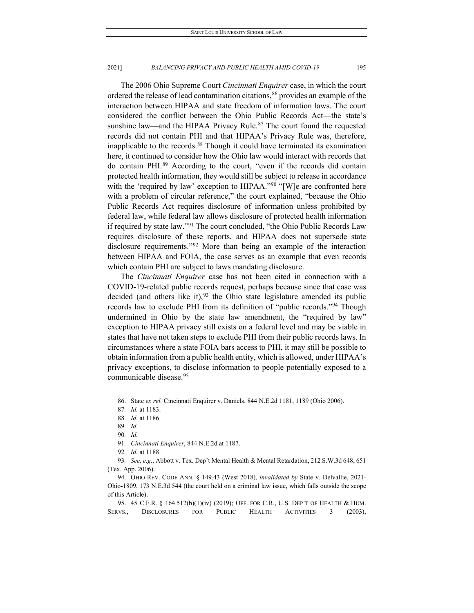The 2006 Ohio Supreme Court *Cincinnati Enquirer* case, in which the court ordered the release of lead contamination citations,  $86$  provides an example of the interaction between HIPAA and state freedom of information laws. The court considered the conflict between the Ohio Public Records Act—the state's sunshine law—and the HIPAA Privacy Rule. $87$  The court found the requested records did not contain PHI and that HIPAA's Privacy Rule was, therefore, inapplicable to the records.[88](#page-13-2) Though it could have terminated its examination here, it continued to consider how the Ohio law would interact with records that do contain PHI.[89](#page-13-3) According to the court, "even if the records did contain protected health information, they would still be subject to release in accordance with the 'required by law' exception to HIPAA."<sup>[90](#page-13-4)</sup> "[W]e are confronted here with a problem of circular reference," the court explained, "because the Ohio Public Records Act requires disclosure of information unless prohibited by federal law, while federal law allows disclosure of protected health information if required by state law.["91](#page-13-5) The court concluded, "the Ohio Public Records Law requires disclosure of these reports, and HIPAA does not supersede state disclosure requirements."[92](#page-13-6) More than being an example of the interaction between HIPAA and FOIA, the case serves as an example that even records which contain PHI are subject to laws mandating disclosure.

The *Cincinnati Enquirer* case has not been cited in connection with a COVID-19-related public records request, perhaps because since that case was decided (and others like it),  $93$  the Ohio state legislature amended its public records law to exclude PHI from its definition of "public records.["94](#page-13-8) Though undermined in Ohio by the state law amendment, the "required by law" exception to HIPAA privacy still exists on a federal level and may be viable in states that have not taken steps to exclude PHI from their public records laws. In circumstances where a state FOIA bars access to PHI, it may still be possible to obtain information from a public health entity, which is allowed, under HIPAA's privacy exceptions, to disclose information to people potentially exposed to a communicable disease.[95](#page-13-9) 

90*. Id.*

91*. Cincinnati Enquirer*, 844 N.E.2d at 1187.

92*. Id.* at 1188.

<span id="page-13-7"></span><span id="page-13-6"></span><span id="page-13-5"></span><span id="page-13-4"></span><span id="page-13-3"></span><span id="page-13-2"></span>93*. See, e.g.*, Abbott v. Tex. Dep't Mental Health & Mental Retardation, 212 S.W.3d 648, 651 (Tex. App. 2006).

<span id="page-13-8"></span>94. OHIO REV. CODE ANN. § 149.43 (West 2018), *invalidated by* State v. Delvallie, 2021- Ohio-1809, 173 N.E.3d 544 (the court held on a criminal law issue, which falls outside the scope of this Article).

<span id="page-13-9"></span>95. 45 C.F.R. § 164.512(b)(1)(iv) (2019); OFF. FOR C.R., U.S. DEP'T OF HEALTH & HUM. SERVS., DISCLOSURES FOR PUBLIC HEALTH ACTIVITIES 3 (2003),

<sup>86.</sup> State *ex rel.* Cincinnati Enquirer v. Daniels, 844 N.E.2d 1181, 1189 (Ohio 2006).

<span id="page-13-1"></span><span id="page-13-0"></span><sup>87</sup>*. Id.* at 1183.

<sup>88</sup>*. Id.* at 1186.

<sup>89</sup>*. Id.*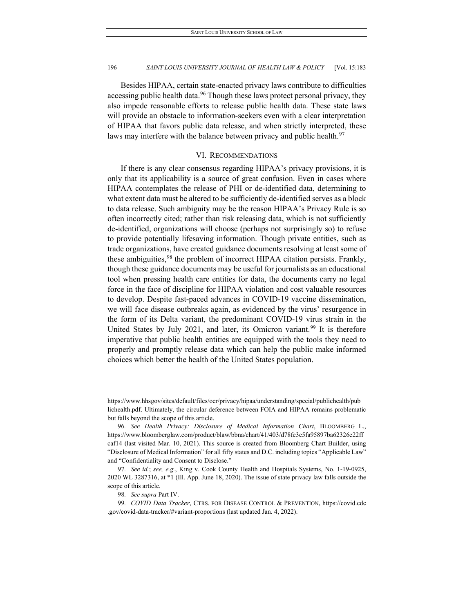Besides HIPAA, certain state-enacted privacy laws contribute to difficulties accessing public health data.<sup>[96](#page-14-0)</sup> Though these laws protect personal privacy, they also impede reasonable efforts to release public health data. These state laws will provide an obstacle to information-seekers even with a clear interpretation of HIPAA that favors public data release, and when strictly interpreted, these laws may interfere with the balance between privacy and public health.<sup>[97](#page-14-1)</sup>

#### VI. RECOMMENDATIONS

If there is any clear consensus regarding HIPAA's privacy provisions, it is only that its applicability is a source of great confusion. Even in cases where HIPAA contemplates the release of PHI or de-identified data, determining to what extent data must be altered to be sufficiently de-identified serves as a block to data release. Such ambiguity may be the reason HIPAA's Privacy Rule is so often incorrectly cited; rather than risk releasing data, which is not sufficiently de-identified, organizations will choose (perhaps not surprisingly so) to refuse to provide potentially lifesaving information. Though private entities, such as trade organizations, have created guidance documents resolving at least some of these ambiguities, <sup>[98](#page-14-2)</sup> the problem of incorrect HIPAA citation persists. Frankly, though these guidance documents may be useful for journalists as an educational tool when pressing health care entities for data, the documents carry no legal force in the face of discipline for HIPAA violation and cost valuable resources to develop. Despite fast-paced advances in COVID-19 vaccine dissemination, we will face disease outbreaks again, as evidenced by the virus' resurgence in the form of its Delta variant, the predominant COVID-19 virus strain in the United States by July 2021, and later, its Omicron variant.<sup>[99](#page-14-3)</sup> It is therefore imperative that public health entities are equipped with the tools they need to properly and promptly release data which can help the public make informed choices which better the health of the United States population.

https://www.hhsgov/sites/default/files/ocr/privacy/hipaa/understanding/special/publichealth/pub lichealth.pdf. Ultimately, the circular deference between FOIA and HIPAA remains problematic but falls beyond the scope of this article.

<span id="page-14-0"></span><sup>96</sup>*. See Health Privacy: Disclosure of Medical Information Chart*, BLOOMBERG L., https://www.bloomberglaw.com/product/blaw/bbna/chart/41/403/d78fe3e5fa95897ba62326e22ff caf14 (last visited Mar. 10, 2021). This source is created from Bloomberg Chart Builder, using "Disclosure of Medical Information" for all fifty states and D.C. including topics "Applicable Law" and "Confidentiality and Consent to Disclose."

<span id="page-14-1"></span><sup>97</sup>*. See id.*; *see, e.g.*, King v. Cook County Health and Hospitals Systems, No. 1-19-0925, 2020 WL 3287316, at \*1 (Ill. App. June 18, 2020). The issue of state privacy law falls outside the scope of this article.

<sup>98</sup>*. See supra* Part IV.

<span id="page-14-3"></span><span id="page-14-2"></span><sup>99</sup>*. COVID Data Tracker*, CTRS. FOR DISEASE CONTROL & PREVENTION, https://covid.cdc .gov/covid-data-tracker/#variant-proportions (last updated Jan. 4, 2022).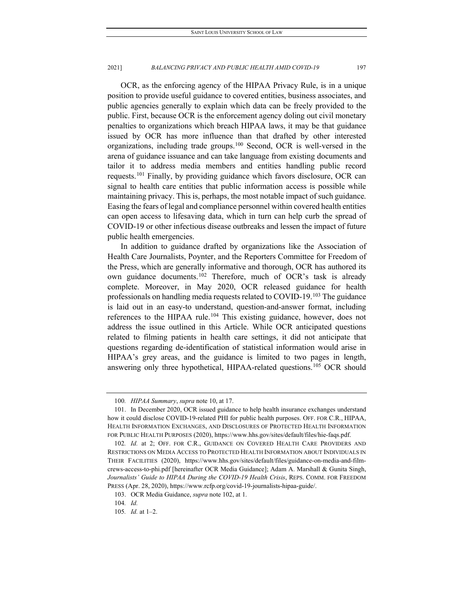OCR, as the enforcing agency of the HIPAA Privacy Rule, is in a unique position to provide useful guidance to covered entities, business associates, and public agencies generally to explain which data can be freely provided to the public. First, because OCR is the enforcement agency doling out civil monetary penalties to organizations which breach HIPAA laws, it may be that guidance issued by OCR has more influence than that drafted by other interested organizations, including trade groups.[100](#page-15-0) Second, OCR is well-versed in the arena of guidance issuance and can take language from existing documents and tailor it to address media members and entities handling public record requests.[101](#page-15-1) Finally, by providing guidance which favors disclosure, OCR can signal to health care entities that public information access is possible while maintaining privacy. This is, perhaps, the most notable impact of such guidance. Easing the fears of legal and compliance personnel within covered health entities can open access to lifesaving data, which in turn can help curb the spread of COVID-19 or other infectious disease outbreaks and lessen the impact of future public health emergencies.

In addition to guidance drafted by organizations like the Association of Health Care Journalists, Poynter, and the Reporters Committee for Freedom of the Press, which are generally informative and thorough, OCR has authored its own guidance documents.<sup>[102](#page-15-2)</sup> Therefore, much of OCR's task is already complete. Moreover, in May 2020, OCR released guidance for health professionals on handling media requests related to COVID-19.[103](#page-15-3) The guidance is laid out in an easy-to understand, question-and-answer format, including references to the HIPAA rule.<sup>[104](#page-15-4)</sup> This existing guidance, however, does not address the issue outlined in this Article. While OCR anticipated questions related to filming patients in health care settings, it did not anticipate that questions regarding de-identification of statistical information would arise in HIPAA's grey areas, and the guidance is limited to two pages in length, answering only three hypothetical, HIPAA-related questions.<sup>[105](#page-15-5)</sup> OCR should

<sup>100</sup>*. HIPAA Summary*, *supra* note 10, at 17.

<span id="page-15-1"></span><span id="page-15-0"></span><sup>101.</sup> In December 2020, OCR issued guidance to help health insurance exchanges understand how it could disclose COVID-19-related PHI for public health purposes. OFF. FOR C.R., HIPAA, HEALTH INFORMATION EXCHANGES, AND DISCLOSURES OF PROTECTED HEALTH INFORMATION FOR PUBLIC HEALTH PURPOSES (2020), https://www.hhs.gov/sites/default/files/hie-faqs.pdf.

<span id="page-15-2"></span><sup>102</sup>*. Id.* at 2; OFF. FOR C.R., GUIDANCE ON COVERED HEALTH CARE PROVIDERS AND RESTRICTIONS ON MEDIA ACCESS TO PROTECTED HEALTH INFORMATION ABOUT INDIVIDUALS IN THEIR FACILITIES (2020), https://www.hhs.gov/sites/default/files/guidance-on-media-and-filmcrews-access-to-phi.pdf [hereinafter OCR Media Guidance]; Adam A. Marshall & Gunita Singh, *Journalists' Guide to HIPAA During the COVID-19 Health Crisis*, REPS. COMM. FOR FREEDOM PRESS (Apr. 28, 2020), https://www.rcfp.org/covid-19-journalists-hipaa-guide/.

<span id="page-15-4"></span><span id="page-15-3"></span><sup>103.</sup> OCR Media Guidance, *supra* note 102, at 1.

<sup>104</sup>*. Id.*

<span id="page-15-5"></span><sup>105</sup>*. Id.* at 1–2.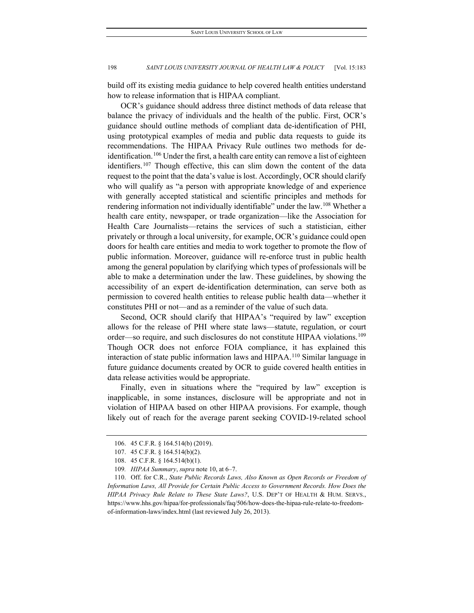build off its existing media guidance to help covered health entities understand how to release information that is HIPAA compliant.

OCR's guidance should address three distinct methods of data release that balance the privacy of individuals and the health of the public. First, OCR's guidance should outline methods of compliant data de-identification of PHI, using prototypical examples of media and public data requests to guide its recommendations. The HIPAA Privacy Rule outlines two methods for de-identification.<sup>[106](#page-16-0)</sup> Under the first, a health care entity can remove a list of eighteen identifiers.<sup>[107](#page-16-1)</sup> Though effective, this can slim down the content of the data request to the point that the data's value is lost. Accordingly, OCR should clarify who will qualify as "a person with appropriate knowledge of and experience with generally accepted statistical and scientific principles and methods for rendering information not individually identifiable" under the law.[108](#page-16-2) Whether a health care entity, newspaper, or trade organization—like the Association for Health Care Journalists—retains the services of such a statistician, either privately or through a local university, for example, OCR's guidance could open doors for health care entities and media to work together to promote the flow of public information. Moreover, guidance will re-enforce trust in public health among the general population by clarifying which types of professionals will be able to make a determination under the law. These guidelines, by showing the accessibility of an expert de-identification determination, can serve both as permission to covered health entities to release public health data—whether it constitutes PHI or not—and as a reminder of the value of such data.

Second, OCR should clarify that HIPAA's "required by law" exception allows for the release of PHI where state laws—statute, regulation, or court order—so require, and such disclosures do not constitute HIPAA violations[.109](#page-16-3) Though OCR does not enforce FOIA compliance, it has explained this interaction of state public information laws and HIPAA.[110](#page-16-4) Similar language in future guidance documents created by OCR to guide covered health entities in data release activities would be appropriate.

Finally, even in situations where the "required by law" exception is inapplicable, in some instances, disclosure will be appropriate and not in violation of HIPAA based on other HIPAA provisions. For example, though likely out of reach for the average parent seeking COVID-19-related school

<sup>106.</sup> 45 C.F.R. § 164.514(b) (2019).

<sup>107.</sup> 45 C.F.R. § 164.514(b)(2).

<sup>108.</sup> 45 C.F.R. § 164.514(b)(1).

<sup>109</sup>*. HIPAA Summary*, *supra* note 10, at 6–7.

<span id="page-16-4"></span><span id="page-16-3"></span><span id="page-16-2"></span><span id="page-16-1"></span><span id="page-16-0"></span><sup>110.</sup> Off. for C.R., *State Public Records Laws, Also Known as Open Records or Freedom of Information Laws, All Provide for Certain Public Access to Government Records. How Does the HIPAA Privacy Rule Relate to These State Laws?*, U.S. DEP'T OF HEALTH & HUM. SERVS., https://www.hhs.gov/hipaa/for-professionals/faq/506/how-does-the-hipaa-rule-relate-to-freedomof-information-laws/index.html (last reviewed July 26, 2013).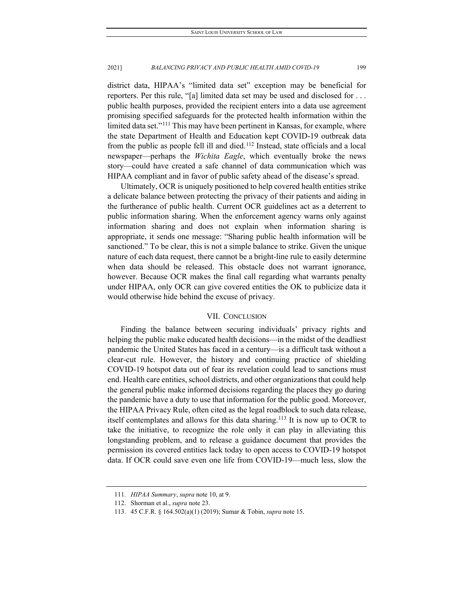district data, HIPAA's "limited data set" exception may be beneficial for reporters. Per this rule, "[a] limited data set may be used and disclosed for . . . public health purposes, provided the recipient enters into a data use agreement promising specified safeguards for the protected health information within the limited data set."<sup>[111](#page-17-0)</sup> This may have been pertinent in Kansas, for example, where the state Department of Health and Education kept COVID-19 outbreak data from the public as people fell ill and died.[112](#page-17-1) Instead, state officials and a local newspaper—perhaps the *Wichita Eagle*, which eventually broke the news story—could have created a safe channel of data communication which was HIPAA compliant and in favor of public safety ahead of the disease's spread.

Ultimately, OCR is uniquely positioned to help covered health entities strike a delicate balance between protecting the privacy of their patients and aiding in the furtherance of public health. Current OCR guidelines act as a deterrent to public information sharing. When the enforcement agency warns only against information sharing and does not explain when information sharing is appropriate, it sends one message: "Sharing public health information will be sanctioned." To be clear, this is not a simple balance to strike. Given the unique nature of each data request, there cannot be a bright-line rule to easily determine when data should be released. This obstacle does not warrant ignorance, however. Because OCR makes the final call regarding what warrants penalty under HIPAA, only OCR can give covered entities the OK to publicize data it would otherwise hide behind the excuse of privacy.

#### VII. CONCLUSION

Finding the balance between securing individuals' privacy rights and helping the public make educated health decisions—in the midst of the deadliest pandemic the United States has faced in a century—is a difficult task without a clear-cut rule. However, the history and continuing practice of shielding COVID-19 hotspot data out of fear its revelation could lead to sanctions must end. Health care entities, school districts, and other organizations that could help the general public make informed decisions regarding the places they go during the pandemic have a duty to use that information for the public good. Moreover, the HIPAA Privacy Rule, often cited as the legal roadblock to such data release, itself contemplates and allows for this data sharing.[113](#page-17-2) It is now up to OCR to take the initiative, to recognize the role only it can play in alleviating this longstanding problem, and to release a guidance document that provides the permission its covered entities lack today to open access to COVID-19 hotspot data. If OCR could save even one life from COVID-19—much less, slow the

<span id="page-17-0"></span><sup>111</sup>*. HIPAA Summary*, *supra* note 10, at 9.

<span id="page-17-1"></span><sup>112.</sup> Shorman et al., *supra* note 23.

<span id="page-17-2"></span><sup>113.</sup> 45 C.F.R. § 164.502(a)(1) (2019); Sumar & Tobin, *supra* note 15.